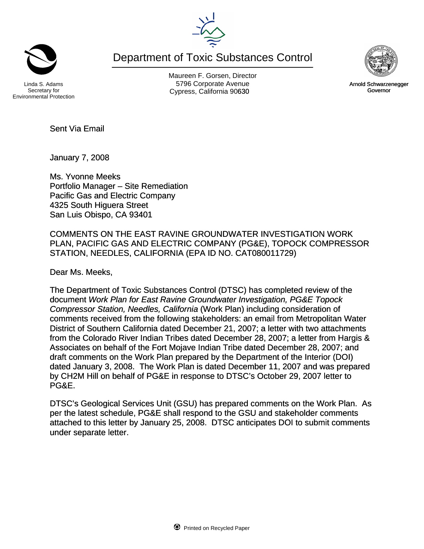Maureen F. Gorsen, Director Linda S. Adams **Example 20 Constructs** S796 Corporate Avenu

Department of Toxic Substances Control

Environmental Protection

Secretary for

Sent Via Email

January 7, 2008

Ms. Yvonne Meeks Portfolio Manager – Site Remediation Pacific Gas and Electric Company 4325 South Higuera Street San Luis Obispo, CA 93401

COMMENTS ON THE EAST RAVINE GROUNDWATER INVESTIGATION WORK PLAN, PACIFIC GAS AND ELECTRIC COMPANY (PG&E), TOPOCK COMPRESSOR STATION, NEEDLES, CALIFORNIA (EPA ID NO. CAT080011729)

Dear Ms. Meeks,

The Department of Toxic Substances Control (DTSC) has completed review of the document *Work Plan for East Ravine Groundwater Investigation, PG&E Topock Compressor Station, Needles, California* (Work Plan) including consideration of comments received from the following stakeholders: an email from Metropolitan Water District of Southern California dated December 21, 2007; a letter with two attachments from the Colorado River Indian Tribes dated December 28, 2007; a letter from Hargis & Associates on behalf of the Fort Mojave Indian Tribe dated December 28, 2007; and draft comments on the Work Plan prepared by the Department of the Interior (DOI) dated January 3, 2008. The Work Plan is dated December 11, 2007 and was prepared by CH2M Hill on behalf of PG&E in response to DTSC's October 29, 2007 letter to PG&E.

DTSC's Geological Services Unit (GSU) has prepared comments on the Work Plan. As per the latest schedule, PG&E shall respond to the GSU and stakeholder comments attached to this letter by January 25, 2008. DTSC anticipates DOI to submit comments under separate letter.





Cypress, California 90630 Governor Arnold Schwarzenegger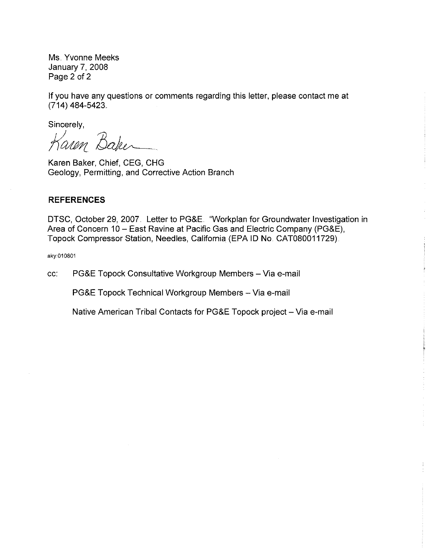Ms. Yvonne Meeks January 7, 2008 Page 2 of 2

If you have any questions or comments regarding this letter, please contact me at (714) 484-5423

Sincerely,

Karen Baker

Karen Baker, Chief, CEG, CHG Geology, Permitting, and Corrective Action Branch

#### **REFERENCES**

DTSC, October 29, 2007. Letter to PG&E. "Workplan for Groundwater Investigation in Area of Concern 10 - East Ravine at Pacific Gas and Electric Company (PG&E), Topock Compressor Station, Needles, California (EPA ID No. CAT080011729).

aky:010801

cc: PG&E Topock Consultative Workgroup Members - Via e-mail

PG&E Topock Technical Workgroup Members - Via e-mail

Native American Tribal Contacts for PG&E Topock project - Via e-mail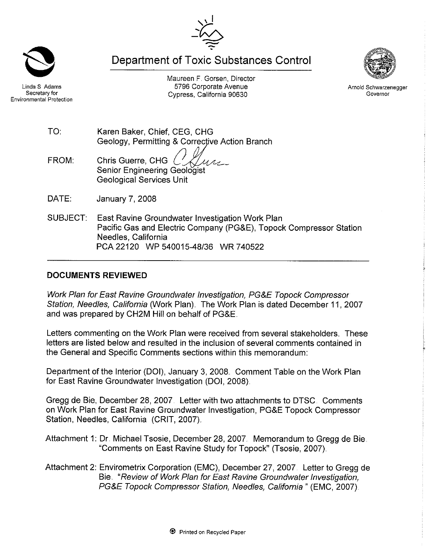**Department of Toxic Substances Control** 

Maureen F. Gorsen, Director



Arnold Schwarzenegger Governor

5796 Corporate Avenue Linda S. Adams Secretary for Cypress, California 90630 Environmental Protection

> Karen Baker, Chief, CEG, CHG Geology, Permitting & Corrective Action Branch

- Chris Guerre, CHG FROM:  $U\Lambda$ Senior Engineering Geologist **Geological Services Unit**
- DATE: January 7, 2008

TO:

SUBJECT: East Ravine Groundwater Investigation Work Plan Pacific Gas and Electric Company (PG&E), Topock Compressor Station Needles, California PCA 22120 WP 540015-48/36 WR 740522

# **DOCUMENTS REVIEWED**

Work Plan for East Ravine Groundwater Investigation, PG&E Topock Compressor Station, Needles, California (Work Plan). The Work Plan is dated December 11, 2007 and was prepared by CH2M Hill on behalf of PG&E.

Letters commenting on the Work Plan were received from several stakeholders. These letters are listed below and resulted in the inclusion of several comments contained in the General and Specific Comments sections within this memorandum:

Department of the Interior (DOI), January 3, 2008. Comment Table on the Work Plan for East Ravine Groundwater Investigation (DOI, 2008).

Gregg de Bie, December 28, 2007. Letter with two attachments to DTSC. Comments on Work Plan for East Ravine Groundwater Investigation, PG&E Topock Compressor Station, Needles, California (CRIT, 2007).

Attachment 1: Dr. Michael Tsosie, December 28, 2007. Memorandum to Gregg de Bie. "Comments on East Ravine Study for Topock" (Tsosie, 2007).

Attachment 2: Envirometrix Corporation (EMC), December 27, 2007. Letter to Gregg de Bie "Review of Work Plan for East Ravine Groundwater Investigation, PG&E Topock Compressor Station, Needles, California " (EMC, 2007).

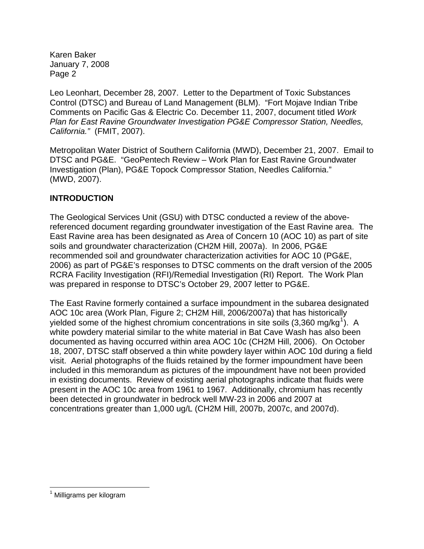Leo Leonhart, December 28, 2007. Letter to the Department of Toxic Substances Control (DTSC) and Bureau of Land Management (BLM). "Fort Mojave Indian Tribe Comments on Pacific Gas & Electric Co. December 11, 2007, document titled *Work Plan for East Ravine Groundwater Investigation PG&E Compressor Station, Needles, California."* (FMIT, 2007).

Metropolitan Water District of Southern California (MWD), December 21, 2007. Email to DTSC and PG&E. "GeoPentech Review – Work Plan for East Ravine Groundwater Investigation (Plan), PG&E Topock Compressor Station, Needles California." (MWD, 2007).

# **INTRODUCTION**

The Geological Services Unit (GSU) with DTSC conducted a review of the abovereferenced document regarding groundwater investigation of the East Ravine area. The East Ravine area has been designated as Area of Concern 10 (AOC 10) as part of site soils and groundwater characterization (CH2M Hill, 2007a). In 2006, PG&E recommended soil and groundwater characterization activities for AOC 10 (PG&E, 2006) as part of PG&E's responses to DTSC comments on the draft version of the 2005 RCRA Facility Investigation (RFI)/Remedial Investigation (RI) Report. The Work Plan was prepared in response to DTSC's October 29, 2007 letter to PG&E.

The East Ravine formerly contained a surface impoundment in the subarea designated AOC 10c area (Work Plan, Figure 2; CH2M Hill, 2006/2007a) that has historically yielded some of the highest chromium concentrations in site soils (3,360 mg/kg<sup>[1](#page-3-0)</sup>). A white powdery material similar to the white material in Bat Cave Wash has also been documented as having occurred within area AOC 10c (CH2M Hill, 2006). On October 18, 2007, DTSC staff observed a thin white powdery layer within AOC 10d during a field visit. Aerial photographs of the fluids retained by the former impoundment have been included in this memorandum as pictures of the impoundment have not been provided in existing documents. Review of existing aerial photographs indicate that fluids were present in the AOC 10c area from 1961 to 1967. Additionally, chromium has recently been detected in groundwater in bedrock well MW-23 in 2006 and 2007 at concentrations greater than 1,000 ug/L (CH2M Hill, 2007b, 2007c, and 2007d).

 $\overline{a}$ 

<span id="page-3-0"></span><sup>&</sup>lt;sup>1</sup> Milligrams per kilogram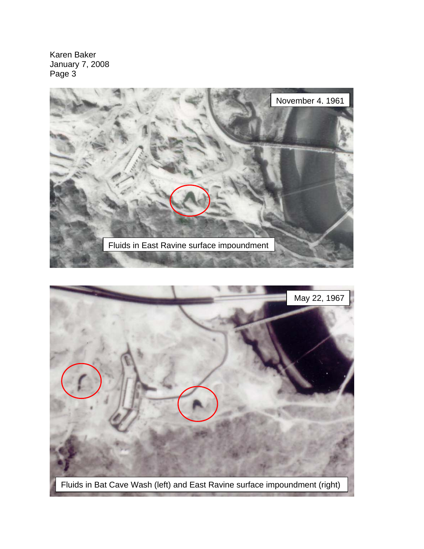

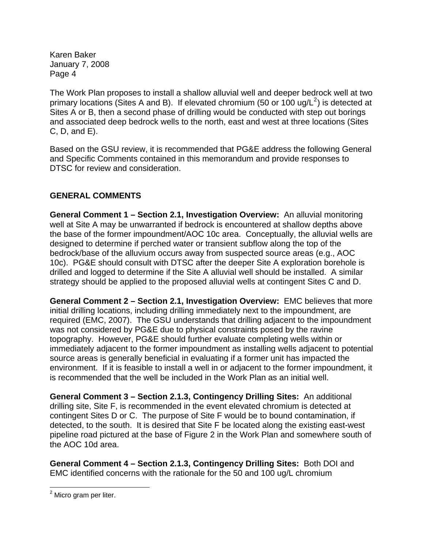The Work Plan proposes to install a shallow alluvial well and deeper bedrock well at two primary locations (Sites A and B). If elevated chromium (50 or 100 ug/L<sup>[2](#page-5-0)</sup>) is detected at Sites A or B, then a second phase of drilling would be conducted with step out borings and associated deep bedrock wells to the north, east and west at three locations (Sites C, D, and E).

Based on the GSU review, it is recommended that PG&E address the following General and Specific Comments contained in this memorandum and provide responses to DTSC for review and consideration.

# **GENERAL COMMENTS**

**General Comment 1 – Section 2.1, Investigation Overview:** An alluvial monitoring well at Site A may be unwarranted if bedrock is encountered at shallow depths above the base of the former impoundment/AOC 10c area. Conceptually, the alluvial wells are designed to determine if perched water or transient subflow along the top of the bedrock/base of the alluvium occurs away from suspected source areas (e.g., AOC 10c). PG&E should consult with DTSC after the deeper Site A exploration borehole is drilled and logged to determine if the Site A alluvial well should be installed. A similar strategy should be applied to the proposed alluvial wells at contingent Sites C and D.

**General Comment 2 – Section 2.1, Investigation Overview:** EMC believes that more initial drilling locations, including drilling immediately next to the impoundment, are required (EMC, 2007). The GSU understands that drilling adjacent to the impoundment was not considered by PG&E due to physical constraints posed by the ravine topography. However, PG&E should further evaluate completing wells within or immediately adjacent to the former impoundment as installing wells adjacent to potential source areas is generally beneficial in evaluating if a former unit has impacted the environment. If it is feasible to install a well in or adjacent to the former impoundment, it is recommended that the well be included in the Work Plan as an initial well.

**General Comment 3 – Section 2.1.3, Contingency Drilling Sites:** An additional drilling site, Site F, is recommended in the event elevated chromium is detected at contingent Sites D or C. The purpose of Site F would be to bound contamination, if detected, to the south. It is desired that Site F be located along the existing east-west pipeline road pictured at the base of Figure 2 in the Work Plan and somewhere south of the AOC 10d area.

**General Comment 4 – Section 2.1.3, Contingency Drilling Sites:** Both DOI and EMC identified concerns with the rationale for the 50 and 100 ug/L chromium

<span id="page-5-0"></span>endertalier.<br><sup>2</sup> Micro gram per liter.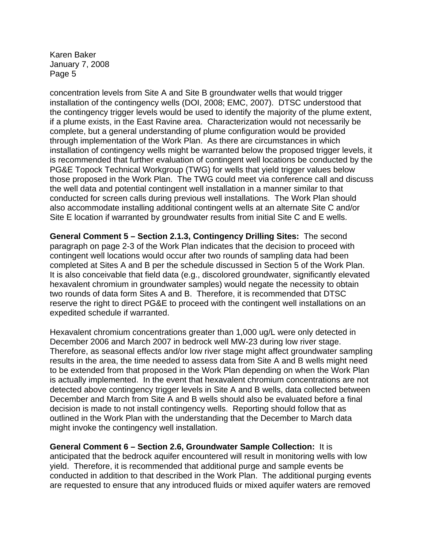concentration levels from Site A and Site B groundwater wells that would trigger installation of the contingency wells (DOI, 2008; EMC, 2007). DTSC understood that the contingency trigger levels would be used to identify the majority of the plume extent, if a plume exists, in the East Ravine area. Characterization would not necessarily be complete, but a general understanding of plume configuration would be provided through implementation of the Work Plan. As there are circumstances in which installation of contingency wells might be warranted below the proposed trigger levels, it is recommended that further evaluation of contingent well locations be conducted by the PG&E Topock Technical Workgroup (TWG) for wells that yield trigger values below those proposed in the Work Plan. The TWG could meet via conference call and discuss the well data and potential contingent well installation in a manner similar to that conducted for screen calls during previous well installations. The Work Plan should also accommodate installing additional contingent wells at an alternate Site C and/or Site E location if warranted by groundwater results from initial Site C and E wells.

**General Comment 5 – Section 2.1.3, Contingency Drilling Sites:** The second paragraph on page 2-3 of the Work Plan indicates that the decision to proceed with contingent well locations would occur after two rounds of sampling data had been completed at Sites A and B per the schedule discussed in Section 5 of the Work Plan. It is also conceivable that field data (e.g., discolored groundwater, significantly elevated hexavalent chromium in groundwater samples) would negate the necessity to obtain two rounds of data form Sites A and B. Therefore, it is recommended that DTSC reserve the right to direct PG&E to proceed with the contingent well installations on an expedited schedule if warranted.

Hexavalent chromium concentrations greater than 1,000 ug/L were only detected in December 2006 and March 2007 in bedrock well MW-23 during low river stage. Therefore, as seasonal effects and/or low river stage might affect groundwater sampling results in the area, the time needed to assess data from Site A and B wells might need to be extended from that proposed in the Work Plan depending on when the Work Plan is actually implemented. In the event that hexavalent chromium concentrations are not detected above contingency trigger levels in Site A and B wells, data collected between December and March from Site A and B wells should also be evaluated before a final decision is made to not install contingency wells. Reporting should follow that as outlined in the Work Plan with the understanding that the December to March data might invoke the contingency well installation.

**General Comment 6 – Section 2.6, Groundwater Sample Collection:** It is anticipated that the bedrock aquifer encountered will result in monitoring wells with low yield. Therefore, it is recommended that additional purge and sample events be conducted in addition to that described in the Work Plan. The additional purging events are requested to ensure that any introduced fluids or mixed aquifer waters are removed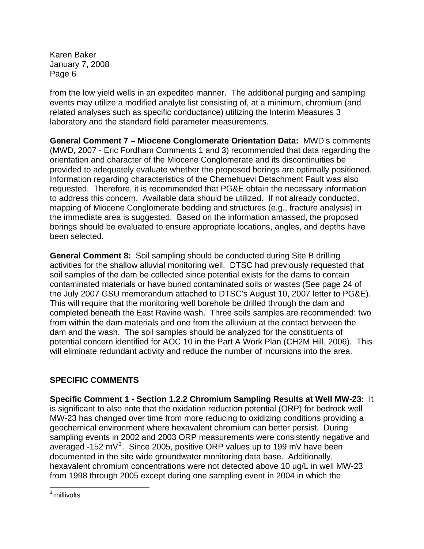from the low yield wells in an expedited manner. The additional purging and sampling events may utilize a modified analyte list consisting of, at a minimum, chromium (and related analyses such as specific conductance) utilizing the Interim Measures 3 laboratory and the standard field parameter measurements.

**General Comment 7 – Miocene Conglomerate Orientation Data:** MWD's comments (MWD, 2007 - Eric Fordham Comments 1 and 3) recommended that data regarding the orientation and character of the Miocene Conglomerate and its discontinuities be provided to adequately evaluate whether the proposed borings are optimally positioned. Information regarding characteristics of the Chemehuevi Detachment Fault was also requested. Therefore, it is recommended that PG&E obtain the necessary information to address this concern. Available data should be utilized. If not already conducted, mapping of Miocene Conglomerate bedding and structures (e.g., fracture analysis) in the immediate area is suggested. Based on the information amassed, the proposed borings should be evaluated to ensure appropriate locations, angles, and depths have been selected.

**General Comment 8:** Soil sampling should be conducted during Site B drilling activities for the shallow alluvial monitoring well. DTSC had previously requested that soil samples of the dam be collected since potential exists for the dams to contain contaminated materials or have buried contaminated soils or wastes (See page 24 of the July 2007 GSU memorandum attached to DTSC's August 10, 2007 letter to PG&E). This will require that the monitoring well borehole be drilled through the dam and completed beneath the East Ravine wash. Three soils samples are recommended: two from within the dam materials and one from the alluvium at the contact between the dam and the wash. The soil samples should be analyzed for the constituents of potential concern identified for AOC 10 in the Part A Work Plan (CH2M Hill, 2006). This will eliminate redundant activity and reduce the number of incursions into the area.

# **SPECIFIC COMMENTS**

**Specific Comment 1 - Section 1.2.2 Chromium Sampling Results at Well MW-23:** It is significant to also note that the oxidation reduction potential (ORP) for bedrock well MW-23 has changed over time from more reducing to oxidizing conditions providing a geochemical environment where hexavalent chromium can better persist. During sampling events in 2002 and 2003 ORP measurements were consistently negative and averaged -152 mV $3$ . Since 2005, positive ORP values up to 199 mV have been documented in the site wide groundwater monitoring data base. Additionally, hexavalent chromium concentrations were not detected above 10 ug/L in well MW-23 from 1998 through 2005 except during one sampling event in 2004 in which the

<span id="page-7-0"></span> 3 millivolts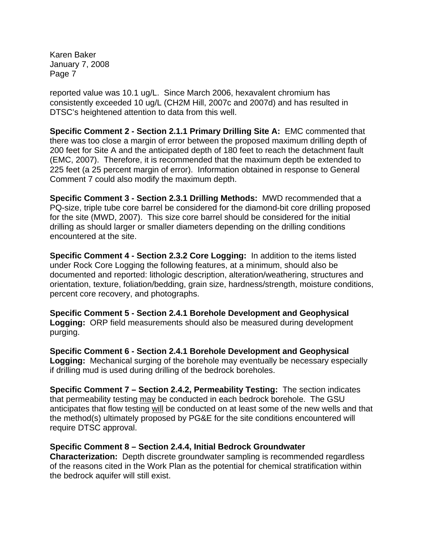reported value was 10.1 ug/L. Since March 2006, hexavalent chromium has consistently exceeded 10 ug/L (CH2M Hill, 2007c and 2007d) and has resulted in DTSC's heightened attention to data from this well.

**Specific Comment 2 - Section 2.1.1 Primary Drilling Site A:** EMC commented that there was too close a margin of error between the proposed maximum drilling depth of 200 feet for Site A and the anticipated depth of 180 feet to reach the detachment fault (EMC, 2007). Therefore, it is recommended that the maximum depth be extended to 225 feet (a 25 percent margin of error). Information obtained in response to General Comment 7 could also modify the maximum depth.

**Specific Comment 3 - Section 2.3.1 Drilling Methods:** MWD recommended that a PQ-size, triple tube core barrel be considered for the diamond-bit core drilling proposed for the site (MWD, 2007). This size core barrel should be considered for the initial drilling as should larger or smaller diameters depending on the drilling conditions encountered at the site.

**Specific Comment 4 - Section 2.3.2 Core Logging:** In addition to the items listed under Rock Core Logging the following features, at a minimum, should also be documented and reported: lithologic description, alteration/weathering, structures and orientation, texture, foliation/bedding, grain size, hardness/strength, moisture conditions, percent core recovery, and photographs.

**Specific Comment 5 - Section 2.4.1 Borehole Development and Geophysical Logging:** ORP field measurements should also be measured during development purging.

**Specific Comment 6 - Section 2.4.1 Borehole Development and Geophysical Logging:** Mechanical surging of the borehole may eventually be necessary especially if drilling mud is used during drilling of the bedrock boreholes.

**Specific Comment 7 – Section 2.4.2, Permeability Testing:** The section indicates that permeability testing may be conducted in each bedrock borehole. The GSU anticipates that flow testing will be conducted on at least some of the new wells and that the method(s) ultimately proposed by PG&E for the site conditions encountered will require DTSC approval.

#### **Specific Comment 8 – Section 2.4.4, Initial Bedrock Groundwater**

**Characterization:** Depth discrete groundwater sampling is recommended regardless of the reasons cited in the Work Plan as the potential for chemical stratification within the bedrock aquifer will still exist.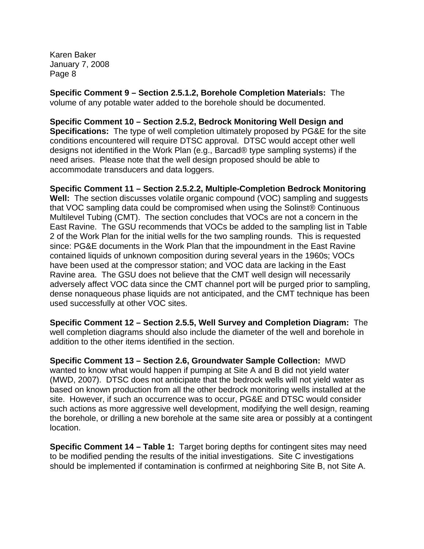used successfully at other VOC sites.

**Specific Comment 9 – Section 2.5.1.2, Borehole Completion Materials:** The volume of any potable water added to the borehole should be documented.

**Specific Comment 10 – Section 2.5.2, Bedrock Monitoring Well Design and Specifications:** The type of well completion ultimately proposed by PG&E for the site conditions encountered will require DTSC approval. DTSC would accept other well designs not identified in the Work Plan (e.g., Barcad® type sampling systems) if the need arises. Please note that the well design proposed should be able to accommodate transducers and data loggers.

**Specific Comment 11 – Section 2.5.2.2, Multiple-Completion Bedrock Monitoring Well:** The section discusses volatile organic compound (VOC) sampling and suggests that VOC sampling data could be compromised when using the Solinst® Continuous Multilevel Tubing (CMT). The section concludes that VOCs are not a concern in the East Ravine. The GSU recommends that VOCs be added to the sampling list in Table 2 of the Work Plan for the initial wells for the two sampling rounds. This is requested since: PG&E documents in the Work Plan that the impoundment in the East Ravine contained liquids of unknown composition during several years in the 1960s; VOCs have been used at the compressor station; and VOC data are lacking in the East Ravine area. The GSU does not believe that the CMT well design will necessarily adversely affect VOC data since the CMT channel port will be purged prior to sampling, dense nonaqueous phase liquids are not anticipated, and the CMT technique has been

**Specific Comment 12 – Section 2.5.5, Well Survey and Completion Diagram:** The well completion diagrams should also include the diameter of the well and borehole in addition to the other items identified in the section.

**Specific Comment 13 – Section 2.6, Groundwater Sample Collection:** MWD wanted to know what would happen if pumping at Site A and B did not yield water (MWD, 2007). DTSC does not anticipate that the bedrock wells will not yield water as based on known production from all the other bedrock monitoring wells installed at the site. However, if such an occurrence was to occur, PG&E and DTSC would consider such actions as more aggressive well development, modifying the well design, reaming the borehole, or drilling a new borehole at the same site area or possibly at a contingent location.

**Specific Comment 14 – Table 1:** Target boring depths for contingent sites may need to be modified pending the results of the initial investigations. Site C investigations should be implemented if contamination is confirmed at neighboring Site B, not Site A.